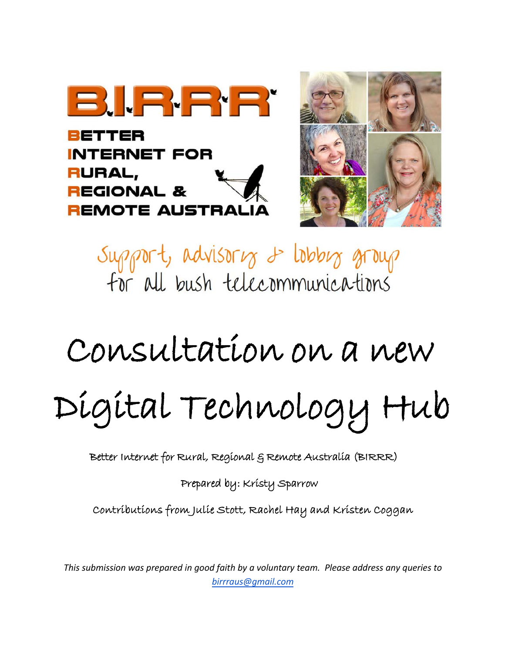

BETTER **INTERNET FOR** RURAL, **REGIONAL & REMOTE AUSTRALIA** 



Support, advisoring 2 lobbing group for all bush telecommunications

# Consultation on a new Digital Technology Hub

Better Internet for Rural, Regional & Remote Australia (BIRRR)

Prepared by: Kristy Sparrow

Contributions from Julie Stott, Rachel Hay and Kristen Coggan

*This submission was prepared in good faith by a voluntary team. Please address any queries to birrraus@gmail.com*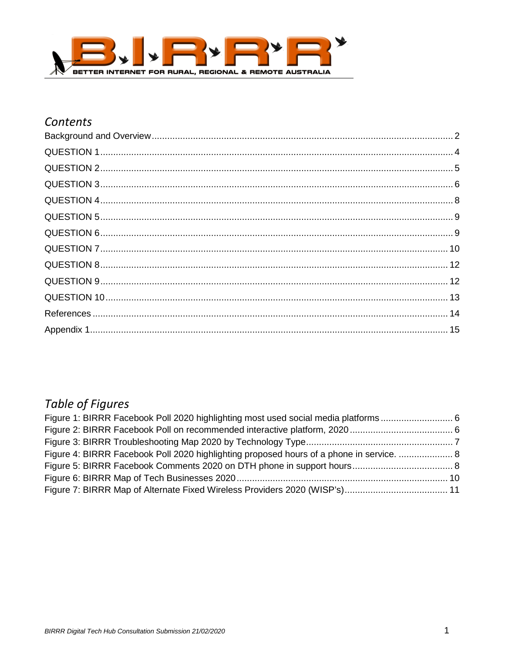

## Contents

## **Table of Figures**

| Figure 4: BIRRR Facebook Poll 2020 highlighting proposed hours of a phone in service.  8 |  |
|------------------------------------------------------------------------------------------|--|
|                                                                                          |  |
|                                                                                          |  |
|                                                                                          |  |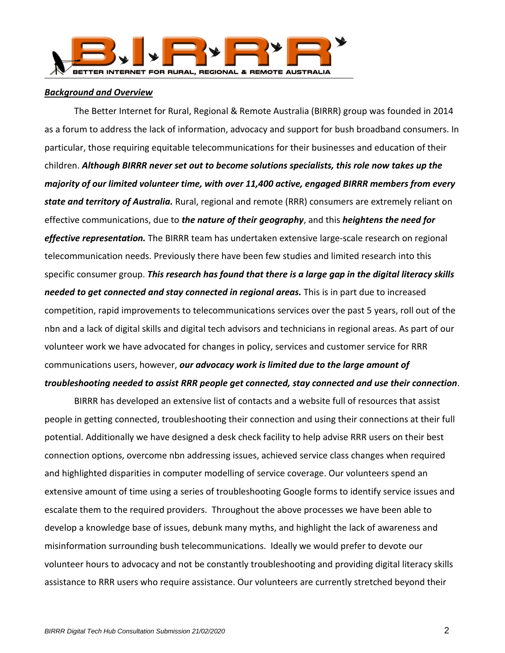

#### <span id="page-2-0"></span>*Background and Overview*

The Better Internet for Rural, Regional & Remote Australia (BIRRR) group was founded in 2014 as a forum to address the lack of information, advocacy and support for bush broadband consumers. In particular, those requiring equitable telecommunications for their businesses and education of their children. *Although BIRRR never set out to become solutions specialists, this role now takes up the majority of our limited volunteer time, with over 11,400 active, engaged BIRRR members from every state and territory of Australia.* Rural, regional and remote (RRR) consumers are extremely reliant on effective communications, due to *the nature of their geography*, and this *heightens the need for effective representation.* The BIRRR team has undertaken extensive large-scale research on regional telecommunication needs. Previously there have been few studies and limited research into this specific consumer group. *This research has found that there is a large gap in the digital literacy skills needed to get connected and stay connected in regional areas.* This is in part due to increased competition, rapid improvements to telecommunications services over the past 5 years, roll out of the nbn and a lack of digital skills and digital tech advisors and technicians in regional areas. As part of our volunteer work we have advocated for changes in policy, services and customer service for RRR communications users, however, *our advocacy work is limited due to the large amount of troubleshooting needed to assist RRR people get connected, stay connected and use their connection*.

BIRRR has developed an extensive list of contacts and a website full of resources that assist people in getting connected, troubleshooting their connection and using their connections at their full potential. Additionally we have designed a desk check facility to help advise RRR users on their best connection options, overcome nbn addressing issues, achieved service class changes when required and highlighted disparities in computer modelling of service coverage. Our volunteers spend an extensive amount of time using a series of troubleshooting Google forms to identify service issues and escalate them to the required providers. Throughout the above processes we have been able to develop a knowledge base of issues, debunk many myths, and highlight the lack of awareness and misinformation surrounding bush telecommunications. Ideally we would prefer to devote our volunteer hours to advocacy and not be constantly troubleshooting and providing digital literacy skills assistance to RRR users who require assistance. Our volunteers are currently stretched beyond their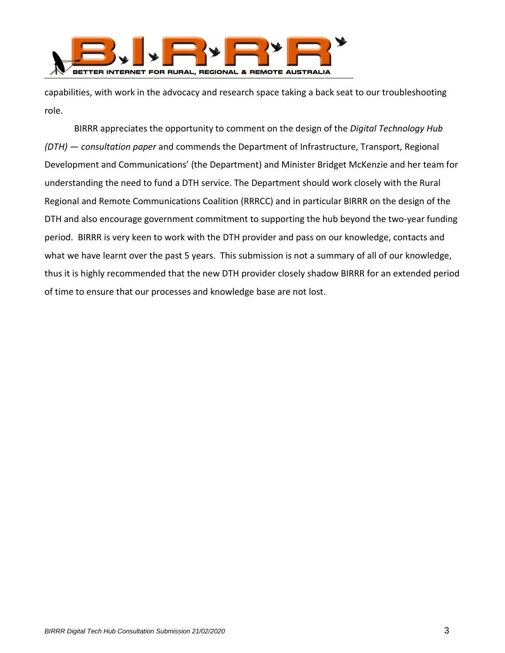

capabilities, with work in the advocacy and research space taking a back seat to our troubleshooting role.

BIRRR appreciates the opportunity to comment on the design of the *Digital Technology Hub (DTH) — consultation paper* and commends the Department of Infrastructure, Transport, Regional Development and Communications' (the Department) and Minister Bridget McKenzie and her team for understanding the need to fund a DTH service. The Department should work closely with the Rural Regional and Remote Communications Coalition (RRRCC) and in particular BIRRR on the design of the DTH and also encourage government commitment to supporting the hub beyond the two-year funding period. BIRRR is very keen to work with the DTH provider and pass on our knowledge, contacts and what we have learnt over the past 5 years. This submission is not a summary of all of our knowledge, thus it is highly recommended that the new DTH provider closely shadow BIRRR for an extended period of time to ensure that our processes and knowledge base are not lost.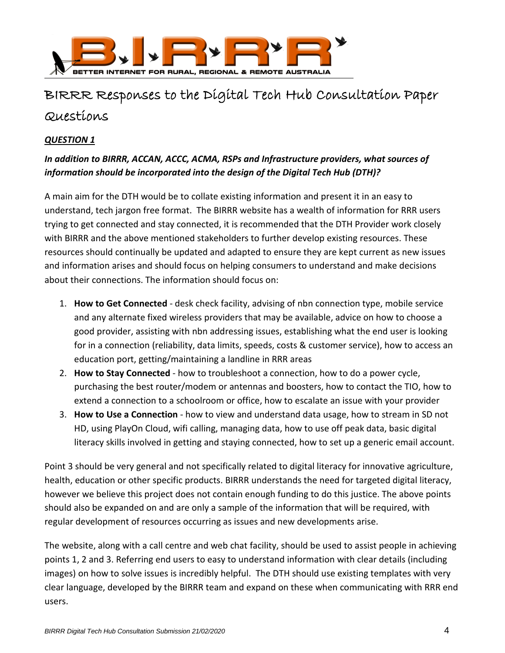

# BIRRR Responses to the Digital Tech Hub Consultation Paper Questions

## <span id="page-4-0"></span>*QUESTION 1*

## *In addition to BIRRR, ACCAN, ACCC, ACMA, RSPs and Infrastructure providers, what sources of information should be incorporated into the design of the Digital Tech Hub (DTH)?*

A main aim for the DTH would be to collate existing information and present it in an easy to understand, tech jargon free format. The BIRRR website has a wealth of information for RRR users trying to get connected and stay connected, it is recommended that the DTH Provider work closely with BIRRR and the above mentioned stakeholders to further develop existing resources. These resources should continually be updated and adapted to ensure they are kept current as new issues and information arises and should focus on helping consumers to understand and make decisions about their connections. The information should focus on:

- 1. **How to Get Connected** desk check facility, advising of nbn connection type, mobile service and any alternate fixed wireless providers that may be available, advice on how to choose a good provider, assisting with nbn addressing issues, establishing what the end user is looking for in a connection (reliability, data limits, speeds, costs & customer service), how to access an education port, getting/maintaining a landline in RRR areas
- 2. **How to Stay Connected** how to troubleshoot a connection, how to do a power cycle, purchasing the best router/modem or antennas and boosters, how to contact the TIO, how to extend a connection to a schoolroom or office, how to escalate an issue with your provider
- 3. **How to Use a Connection** how to view and understand data usage, how to stream in SD not HD, using PlayOn Cloud, wifi calling, managing data, how to use off peak data, basic digital literacy skills involved in getting and staying connected, how to set up a generic email account.

Point 3 should be very general and not specifically related to digital literacy for innovative agriculture, health, education or other specific products. BIRRR understands the need for targeted digital literacy, however we believe this project does not contain enough funding to do this justice. The above points should also be expanded on and are only a sample of the information that will be required, with regular development of resources occurring as issues and new developments arise.

The website, along with a call centre and web chat facility, should be used to assist people in achieving points 1, 2 and 3. Referring end users to easy to understand information with clear details (including images) on how to solve issues is incredibly helpful. The DTH should use existing templates with very clear language, developed by the BIRRR team and expand on these when communicating with RRR end users.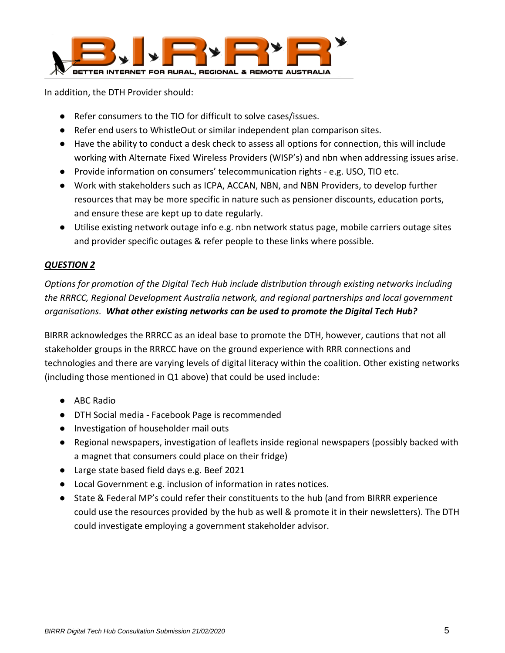

In addition, the DTH Provider should:

- Refer consumers to the TIO for difficult to solve cases/issues.
- Refer end users to WhistleOut or similar independent plan comparison sites.
- Have the ability to conduct a desk check to assess all options for connection, this will include working with Alternate Fixed Wireless Providers (WISP's) and nbn when addressing issues arise.
- Provide information on consumers' telecommunication rights e.g. USO, TIO etc.
- Work with stakeholders such as ICPA, ACCAN, NBN, and NBN Providers, to develop further resources that may be more specific in nature such as pensioner discounts, education ports, and ensure these are kept up to date regularly.
- Utilise existing network outage info e.g. nbn network status page, mobile carriers outage sites and provider specific outages & refer people to these links where possible.

## <span id="page-5-0"></span>*QUESTION 2*

*Options for promotion of the Digital Tech Hub include distribution through existing networks including the RRRCC, Regional Development Australia network, and regional partnerships and local government organisations. What other existing networks can be used to promote the Digital Tech Hub?*

BIRRR acknowledges the RRRCC as an ideal base to promote the DTH, however, cautions that not all stakeholder groups in the RRRCC have on the ground experience with RRR connections and technologies and there are varying levels of digital literacy within the coalition. Other existing networks (including those mentioned in Q1 above) that could be used include:

- ABC Radio
- DTH Social media Facebook Page is recommended
- Investigation of householder mail outs
- Regional newspapers, investigation of leaflets inside regional newspapers (possibly backed with a magnet that consumers could place on their fridge)
- Large state based field days e.g. Beef 2021
- Local Government e.g. inclusion of information in rates notices.
- <span id="page-5-1"></span>● State & Federal MP's could refer their constituents to the hub (and from BIRRR experience could use the resources provided by the hub as well & promote it in their newsletters). The DTH could investigate employing a government stakeholder advisor.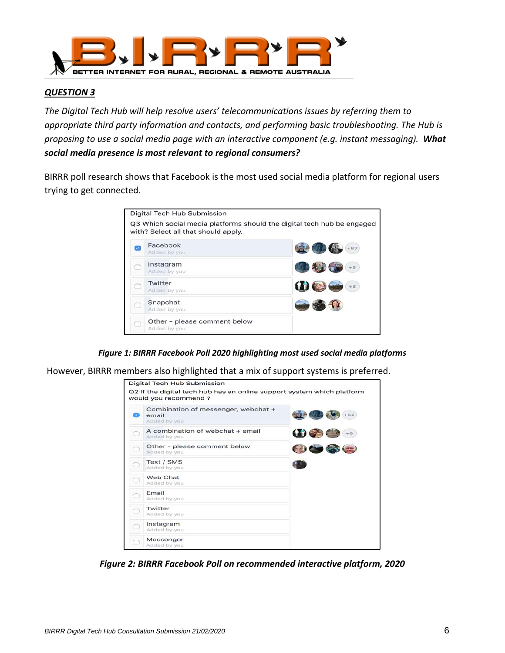

*The Digital Tech Hub will help resolve users' telecommunications issues by referring them to appropriate third party information and contacts, and performing basic troubleshooting. The Hub is proposing to use a social media page with an interactive component (e.g. instant messaging). What social media presence is most relevant to regional consumers?*

BIRRR poll research shows that Facebook is the most used social media platform for regional users trying to get connected.

|   | Digital Tech Hub Submission                                                                                   |       |
|---|---------------------------------------------------------------------------------------------------------------|-------|
|   | Q3 Which social media platforms should the digital tech hub be engaged<br>with? Select all that should apply. |       |
| ᢦ | Facebook<br>Added by you                                                                                      | $+67$ |
|   | Instagram<br>Added by you                                                                                     | $+9$  |
|   | Twitter<br>Added by you                                                                                       | $+8$  |
|   | Snapchat<br>Added by you                                                                                      |       |
|   | Other - please comment below<br>Added by you                                                                  |       |

*Figure 1: BIRRR Facebook Poll 2020 highlighting most used social media platforms*

<span id="page-6-0"></span>However, BIRRR members also highlighted that a mix of support systems is preferred.

<span id="page-6-1"></span>

*Figure 2: BIRRR Facebook Poll on recommended interactive platform, 2020*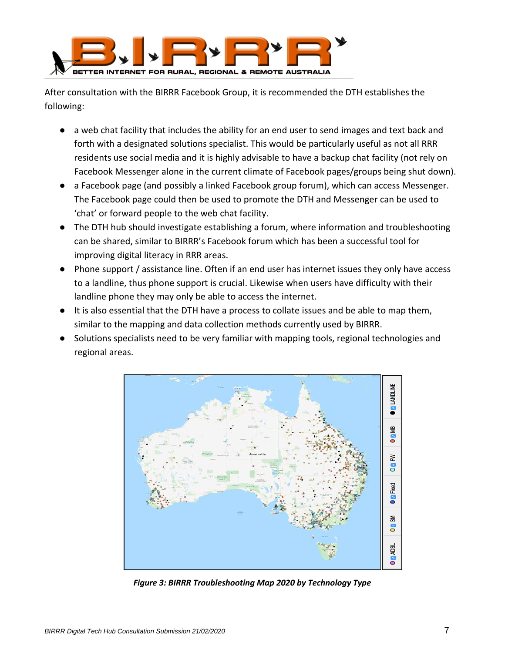

After consultation with the BIRRR Facebook Group, it is recommended the DTH establishes the following:

- a web chat facility that includes the ability for an end user to send images and text back and forth with a designated solutions specialist. This would be particularly useful as not all RRR residents use social media and it is highly advisable to have a backup chat facility (not rely on Facebook Messenger alone in the current climate of Facebook pages/groups being shut down).
- a Facebook page (and possibly a linked Facebook group forum), which can access Messenger. The Facebook page could then be used to promote the DTH and Messenger can be used to 'chat' or forward people to the web chat facility.
- The DTH hub should investigate establishing a forum, where information and troubleshooting can be shared, similar to BIRRR's Facebook forum which has been a successful tool for improving digital literacy in RRR areas.
- Phone support / assistance line. Often if an end user has internet issues they only have access to a landline, thus phone support is crucial. Likewise when users have difficulty with their landline phone they may only be able to access the internet.
- It is also essential that the DTH have a process to collate issues and be able to map them, similar to the mapping and data collection methods currently used by BIRRR.
- Solutions specialists need to be very familiar with mapping tools, regional technologies and regional areas.



<span id="page-7-0"></span>*Figure 3: BIRRR Troubleshooting Map 2020 by Technology Type*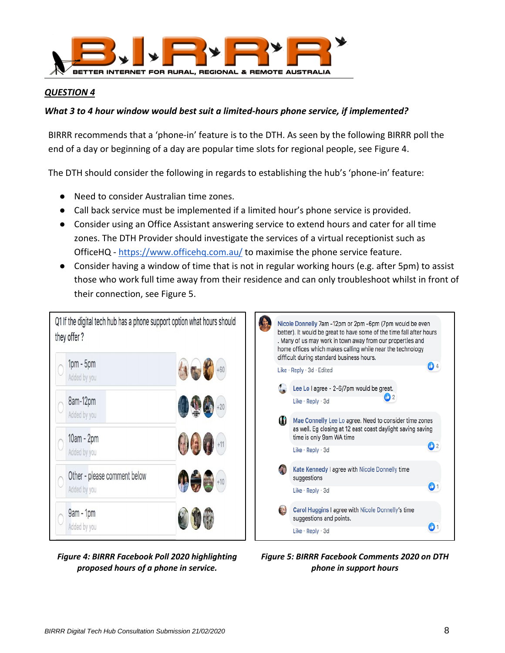

## <span id="page-8-0"></span>*What 3 to 4 hour window would best suit a limited-hours phone service, if implemented?*

BIRRR recommends that a 'phone-in' feature is to the DTH. As seen by the following BIRRR poll the end of a day or beginning of a day are popular time slots for regional people, see Figure 4.

The DTH should consider the following in regards to establishing the hub's 'phone-in' feature:

- Need to consider Australian time zones.
- Call back service must be implemented if a limited hour's phone service is provided.
- Consider using an Office Assistant answering service to extend hours and cater for all time zones. The DTH Provider should investigate the services of a virtual receptionist such as OfficeHQ [- https://www.officehq.com.au/](https://www.officehq.com.au/) to maximise the phone service feature.
- Consider having a window of time that is not in regular working hours (e.g. after 5pm) to assist those who work full time away from their residence and can only troubleshoot whilst in front of their connection, see Figure 5.



Nicole Donnelly 7am -12pm or 2pm -6pm (7pm would be even better). It would be great to have some of the time fall after hours . Many of us may work in town away from our properties and home offices which makes calling while near the technology difficult during standard business hours. **C** 4 Like · Reply · 3d · Edited Lee Lo I agree - 2-6/7pm would be great.  $^{\bullet}$  2 Like · Reply · 3d Mae Connelly Lee Lo agree. Need to consider time zones as well. Eg closing at 12 east coast daylight saving saving time is only 9am WA time  $\mathbf{D}$  2 Like · Reply · 3d Kate Kennedy I agree with Nicole Donnelly time suggestions  $\mathbf{O}$  1 Like · Reply · 3d Carol Huggins I agree with Nicole Donnelly's time suggestions and points. 01 Like · Reply · 3d

<span id="page-8-1"></span>*Figure 4: BIRRR Facebook Poll 2020 highlighting proposed hours of a phone in service.*

<span id="page-8-2"></span>*Figure 5: BIRRR Facebook Comments 2020 on DTH phone in support hours*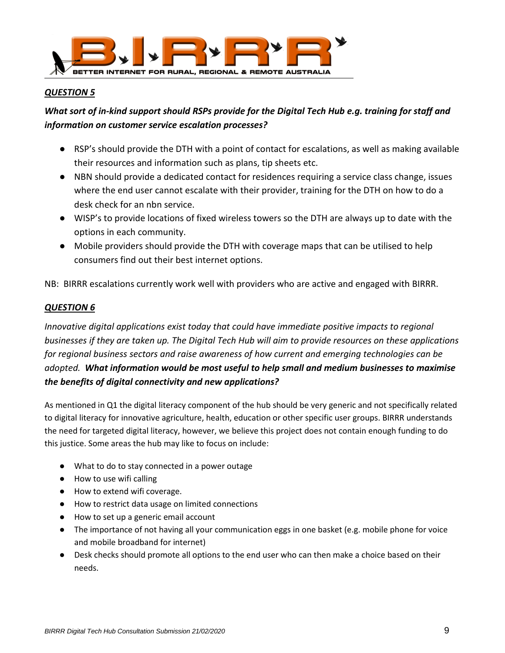

## <span id="page-9-0"></span>*What sort of in-kind support should RSPs provide for the Digital Tech Hub e.g. training for staff and information on customer service escalation processes?*

- RSP's should provide the DTH with a point of contact for escalations, as well as making available their resources and information such as plans, tip sheets etc.
- NBN should provide a dedicated contact for residences requiring a service class change, issues where the end user cannot escalate with their provider, training for the DTH on how to do a desk check for an nbn service.
- WISP's to provide locations of fixed wireless towers so the DTH are always up to date with the options in each community.
- Mobile providers should provide the DTH with coverage maps that can be utilised to help consumers find out their best internet options.

NB: BIRRR escalations currently work well with providers who are active and engaged with BIRRR.

#### <span id="page-9-1"></span>*QUESTION 6*

*Innovative digital applications exist today that could have immediate positive impacts to regional businesses if they are taken up. The Digital Tech Hub will aim to provide resources on these applications for regional business sectors and raise awareness of how current and emerging technologies can be adopted. What information would be most useful to help small and medium businesses to maximise the benefits of digital connectivity and new applications?*

As mentioned in Q1 the digital literacy component of the hub should be very generic and not specifically related to digital literacy for innovative agriculture, health, education or other specific user groups. BIRRR understands the need for targeted digital literacy, however, we believe this project does not contain enough funding to do this justice. Some areas the hub may like to focus on include:

- What to do to stay connected in a power outage
- How to use wifi calling
- How to extend wifi coverage.
- How to restrict data usage on limited connections
- How to set up a generic email account
- The importance of not having all your communication eggs in one basket (e.g. mobile phone for voice and mobile broadband for internet)
- Desk checks should promote all options to the end user who can then make a choice based on their needs.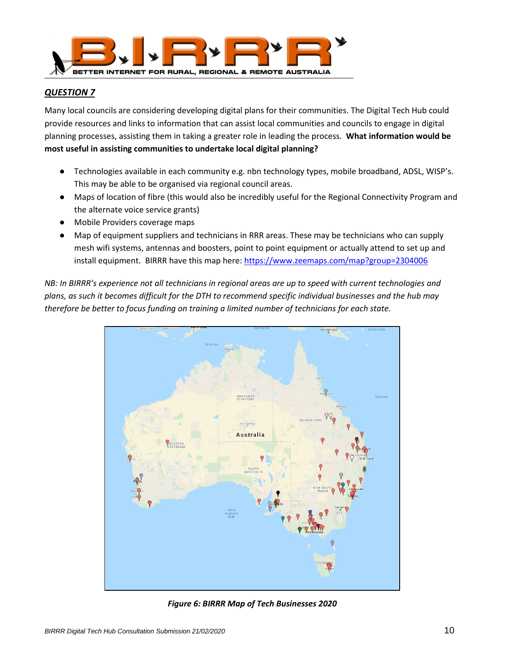

<span id="page-10-0"></span>Many local councils are considering developing digital plans for their communities. The Digital Tech Hub could provide resources and links to information that can assist local communities and councils to engage in digital planning processes, assisting them in taking a greater role in leading the process. **What information would be most useful in assisting communities to undertake local digital planning?**

- Technologies available in each community e.g. nbn technology types, mobile broadband, ADSL, WISP's. This may be able to be organised via regional council areas.
- Maps of location of fibre (this would also be incredibly useful for the Regional Connectivity Program and the alternate voice service grants)
- Mobile Providers coverage maps
- Map of equipment suppliers and technicians in RRR areas. These may be technicians who can supply mesh wifi systems, antennas and boosters, point to point equipment or actually attend to set up and install equipment. BIRRR have this map here:<https://www.zeemaps.com/map?group=2304006>

*NB: In BIRRR's experience not all technicians in regional areas are up to speed with current technologies and plans, as such it becomes difficult for the DTH to recommend specific individual businesses and the hub may therefore be better to focus funding on training a limited number of technicians for each state.*



<span id="page-10-1"></span>*Figure 6: BIRRR Map of Tech Businesses 2020*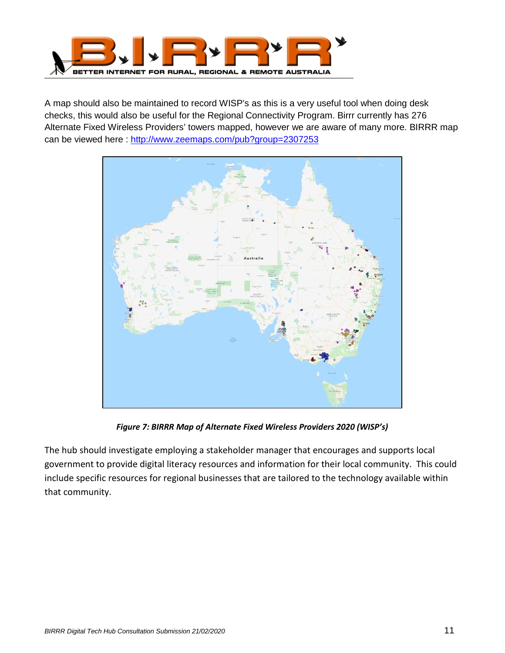

A map should also be maintained to record WISP's as this is a very useful tool when doing desk checks, this would also be useful for the Regional Connectivity Program. Birrr currently has 276 Alternate Fixed Wireless Providers' towers mapped, however we are aware of many more. BIRRR map can be viewed here :<http://www.zeemaps.com/pub?group=2307253>



*Figure 7: BIRRR Map of Alternate Fixed Wireless Providers 2020 (WISP's)*

<span id="page-11-0"></span>The hub should investigate employing a stakeholder manager that encourages and supports local government to provide digital literacy resources and information for their local community. This could include specific resources for regional businesses that are tailored to the technology available within that community.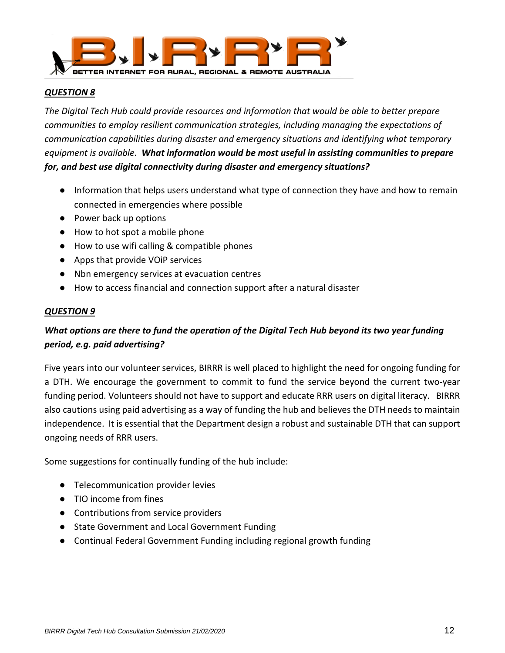

<span id="page-12-0"></span>*The Digital Tech Hub could provide resources and information that would be able to better prepare communities to employ resilient communication strategies, including managing the expectations of communication capabilities during disaster and emergency situations and identifying what temporary equipment is available. What information would be most useful in assisting communities to prepare for, and best use digital connectivity during disaster and emergency situations?*

- Information that helps users understand what type of connection they have and how to remain connected in emergencies where possible
- Power back up options
- How to hot spot a mobile phone
- How to use wifi calling & compatible phones
- Apps that provide VOiP services
- Nbn emergency services at evacuation centres
- How to access financial and connection support after a natural disaster

#### <span id="page-12-1"></span>*QUESTION 9*

## *What options are there to fund the operation of the Digital Tech Hub beyond its two year funding period, e.g. paid advertising?*

Five years into our volunteer services, BIRRR is well placed to highlight the need for ongoing funding for a DTH. We encourage the government to commit to fund the service beyond the current two-year funding period. Volunteers should not have to support and educate RRR users on digital literacy. BIRRR also cautions using paid advertising as a way of funding the hub and believes the DTH needs to maintain independence. It is essential that the Department design a robust and sustainable DTH that can support ongoing needs of RRR users.

Some suggestions for continually funding of the hub include:

- Telecommunication provider levies
- TIO income from fines
- Contributions from service providers
- State Government and Local Government Funding
- Continual Federal Government Funding including regional growth funding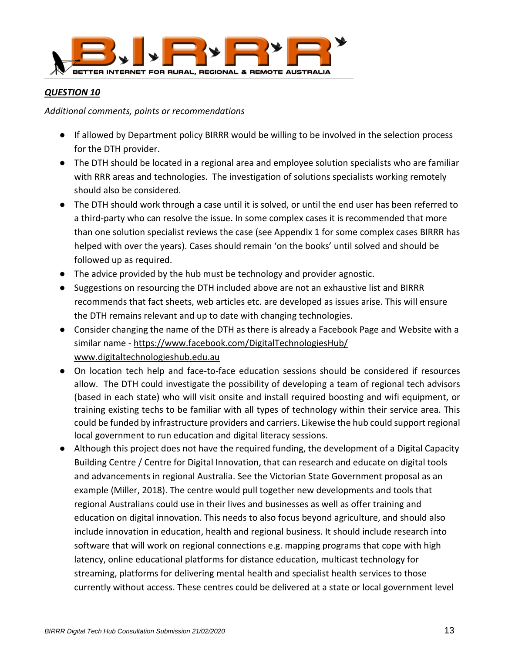

<span id="page-13-0"></span>*Additional comments, points or recommendations*

- If allowed by Department policy BIRRR would be willing to be involved in the selection process for the DTH provider.
- The DTH should be located in a regional area and employee solution specialists who are familiar with RRR areas and technologies. The investigation of solutions specialists working remotely should also be considered.
- The DTH should work through a case until it is solved, or until the end user has been referred to a third-party who can resolve the issue. In some complex cases it is recommended that more than one solution specialist reviews the case (see Appendix 1 for some complex cases BIRRR has helped with over the years). Cases should remain 'on the books' until solved and should be followed up as required.
- The advice provided by the hub must be technology and provider agnostic.
- Suggestions on resourcing the DTH included above are not an exhaustive list and BIRRR recommends that fact sheets, web articles etc. are developed as issues arise. This will ensure the DTH remains relevant and up to date with changing technologies.
- Consider changing the name of the DTH as there is already a Facebook Page and Website with a similar name -<https://www.facebook.com/DigitalTechnologiesHub/> [www.digitaltechnologieshub.edu.au](https://www.digitaltechnologieshub.edu.au/?fbclid=IwAR0BSnjp8rdvTWOlL28sIFeNnPw_yY2-nUbC1KZF__j1Phwgom4SJyJ8u0c)
- On location tech help and face-to-face education sessions should be considered if resources allow. The DTH could investigate the possibility of developing a team of regional tech advisors (based in each state) who will visit onsite and install required boosting and wifi equipment, or training existing techs to be familiar with all types of technology within their service area. This could be funded by infrastructure providers and carriers. Likewise the hub could support regional local government to run education and digital literacy sessions.
- Although this project does not have the required funding, the development of a Digital Capacity Building Centre / Centre for Digital Innovation, that can research and educate on digital tools and advancements in regional Australia. See the Victorian State Government proposal as an example (Miller, 2018). The centre would pull together new developments and tools that regional Australians could use in their lives and businesses as well as offer training and education on digital innovation. This needs to also focus beyond agriculture, and should also include innovation in education, health and regional business. It should include research into software that will work on regional connections e.g. mapping programs that cope with high latency, online educational platforms for distance education, multicast technology for streaming, platforms for delivering mental health and specialist health services to those currently without access. These centres could be delivered at a state or local government level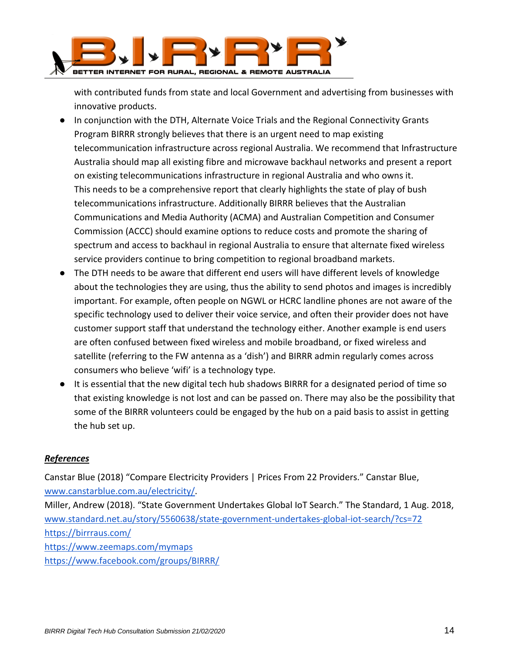

with contributed funds from state and local Government and advertising from businesses with innovative products.

- In conjunction with the DTH, Alternate Voice Trials and the Regional Connectivity Grants Program BIRRR strongly believes that there is an urgent need to map existing telecommunication infrastructure across regional Australia. We recommend that Infrastructure Australia should map all existing fibre and microwave backhaul networks and present a report on existing telecommunications infrastructure in regional Australia and who owns it. This needs to be a comprehensive report that clearly highlights the state of play of bush telecommunications infrastructure. Additionally BIRRR believes that the Australian Communications and Media Authority (ACMA) and Australian Competition and Consumer Commission (ACCC) should examine options to reduce costs and promote the sharing of spectrum and access to backhaul in regional Australia to ensure that alternate fixed wireless service providers continue to bring competition to regional broadband markets.
- The DTH needs to be aware that different end users will have different levels of knowledge about the technologies they are using, thus the ability to send photos and images is incredibly important. For example, often people on NGWL or HCRC landline phones are not aware of the specific technology used to deliver their voice service, and often their provider does not have customer support staff that understand the technology either. Another example is end users are often confused between fixed wireless and mobile broadband, or fixed wireless and satellite (referring to the FW antenna as a 'dish') and BIRRR admin regularly comes across consumers who believe 'wifi' is a technology type.
- It is essential that the new digital tech hub shadows BIRRR for a designated period of time so that existing knowledge is not lost and can be passed on. There may also be the possibility that some of the BIRRR volunteers could be engaged by the hub on a paid basis to assist in getting the hub set up.

## <span id="page-14-0"></span>*References*

Canstar Blue (2018) "Compare Electricity Providers | Prices From 22 Providers." Canstar Blue, [www.canstarblue.com.au/electricity/.](http://www.canstarblue.com.au/electricity/)

Miller, Andrew (2018). "State Government Undertakes Global IoT Search." The Standard, 1 Aug. 2018, [www.standard.net.au/story/5560638/state-government-undertakes-global-iot-search/?cs=72](http://www.standard.net.au/story/5560638/state-government-undertakes-global-iot-search/?cs=72) <https://birrraus.com/> <https://www.zeemaps.com/mymaps>

<https://www.facebook.com/groups/BIRRR/>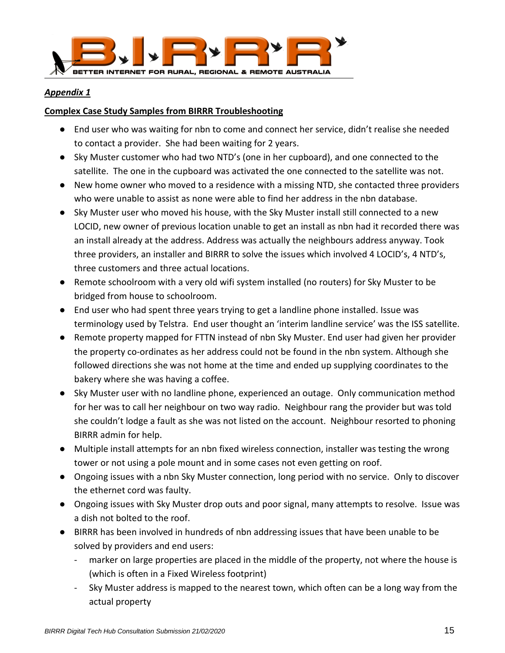

#### <span id="page-15-0"></span>*Appendix 1*

## **Complex Case Study Samples from BIRRR Troubleshooting**

- End user who was waiting for nbn to come and connect her service, didn't realise she needed to contact a provider. She had been waiting for 2 years.
- Sky Muster customer who had two NTD's (one in her cupboard), and one connected to the satellite. The one in the cupboard was activated the one connected to the satellite was not.
- New home owner who moved to a residence with a missing NTD, she contacted three providers who were unable to assist as none were able to find her address in the nbn database.
- Sky Muster user who moved his house, with the Sky Muster install still connected to a new LOCID, new owner of previous location unable to get an install as nbn had it recorded there was an install already at the address. Address was actually the neighbours address anyway. Took three providers, an installer and BIRRR to solve the issues which involved 4 LOCID's, 4 NTD's, three customers and three actual locations.
- Remote schoolroom with a very old wifi system installed (no routers) for Sky Muster to be bridged from house to schoolroom.
- End user who had spent three years trying to get a landline phone installed. Issue was terminology used by Telstra. End user thought an 'interim landline service' was the ISS satellite.
- Remote property mapped for FTTN instead of nbn Sky Muster. End user had given her provider the property co-ordinates as her address could not be found in the nbn system. Although she followed directions she was not home at the time and ended up supplying coordinates to the bakery where she was having a coffee.
- Sky Muster user with no landline phone, experienced an outage. Only communication method for her was to call her neighbour on two way radio. Neighbour rang the provider but was told she couldn't lodge a fault as she was not listed on the account. Neighbour resorted to phoning BIRRR admin for help.
- Multiple install attempts for an nbn fixed wireless connection, installer was testing the wrong tower or not using a pole mount and in some cases not even getting on roof.
- Ongoing issues with a nbn Sky Muster connection, long period with no service. Only to discover the ethernet cord was faulty.
- Ongoing issues with Sky Muster drop outs and poor signal, many attempts to resolve. Issue was a dish not bolted to the roof.
- BIRRR has been involved in hundreds of nbn addressing issues that have been unable to be solved by providers and end users:
	- marker on large properties are placed in the middle of the property, not where the house is (which is often in a Fixed Wireless footprint)
	- Sky Muster address is mapped to the nearest town, which often can be a long way from the actual property